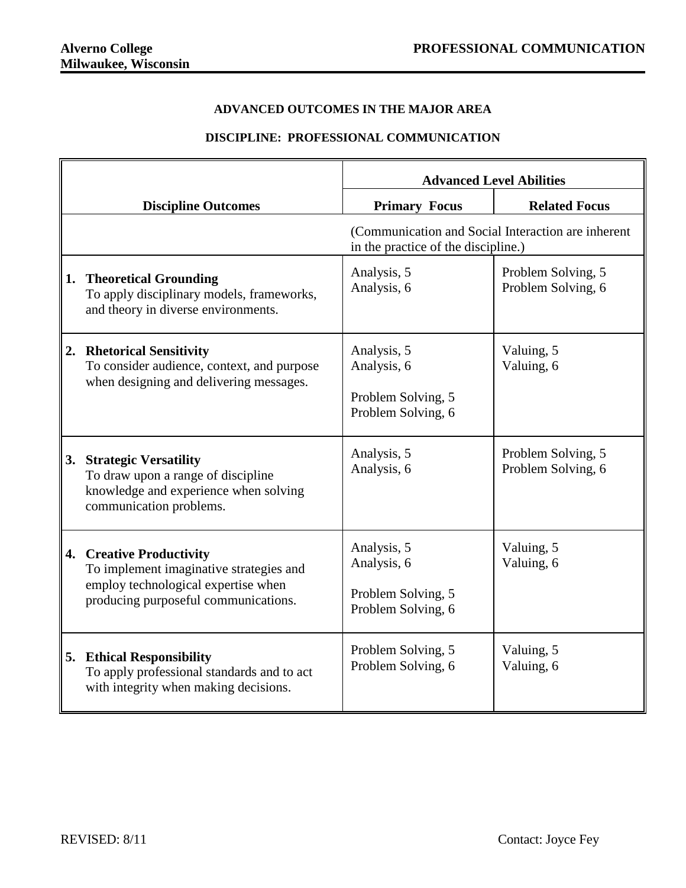## **ADVANCED OUTCOMES IN THE MAJOR AREA**

## **DISCIPLINE: PROFESSIONAL COMMUNICATION**

|    |                                                                                                                                                        | <b>Advanced Level Abilities</b>                                                           |                                          |
|----|--------------------------------------------------------------------------------------------------------------------------------------------------------|-------------------------------------------------------------------------------------------|------------------------------------------|
|    | <b>Discipline Outcomes</b>                                                                                                                             | <b>Primary Focus</b>                                                                      | <b>Related Focus</b>                     |
|    |                                                                                                                                                        | (Communication and Social Interaction are inherent<br>in the practice of the discipline.) |                                          |
| 1. | <b>Theoretical Grounding</b><br>To apply disciplinary models, frameworks,<br>and theory in diverse environments.                                       | Analysis, 5<br>Analysis, 6                                                                | Problem Solving, 5<br>Problem Solving, 6 |
| 2. | <b>Rhetorical Sensitivity</b><br>To consider audience, context, and purpose<br>when designing and delivering messages.                                 | Analysis, 5<br>Analysis, 6<br>Problem Solving, 5<br>Problem Solving, 6                    | Valuing, 5<br>Valuing, 6                 |
| 3. | <b>Strategic Versatility</b><br>To draw upon a range of discipline<br>knowledge and experience when solving<br>communication problems.                 | Analysis, 5<br>Analysis, 6                                                                | Problem Solving, 5<br>Problem Solving, 6 |
| 4. | <b>Creative Productivity</b><br>To implement imaginative strategies and<br>employ technological expertise when<br>producing purposeful communications. | Analysis, 5<br>Analysis, 6<br>Problem Solving, 5<br>Problem Solving, 6                    | Valuing, 5<br>Valuing, 6                 |
|    | 5. Ethical Responsibility<br>To apply professional standards and to act<br>with integrity when making decisions.                                       | Problem Solving, 5<br>Problem Solving, 6                                                  | Valuing, 5<br>Valuing, 6                 |